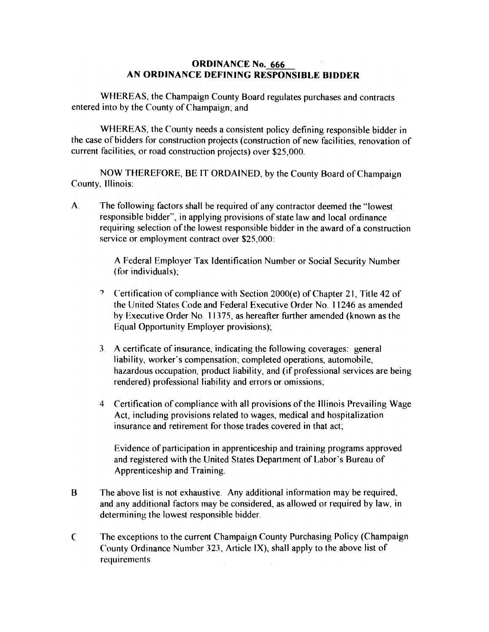## ORDINANCE No. 666 AN ORDINANCE DEFINING RESPONSIBLE BIDDER

WHEREAS, the Champaign County Board regulates purchases and contracts entered into by the County of Champaign; and

WHEREAS, the County needs a consistent policy defining responsible bidder in the case of bidders for construction projects (construction of new facilities, renovation of current facilities, or road construction projects) over \$25,000.

NOW THEREFORE, BE IT ORDAINED, by the County Board of Champaign County, Illinois:

A The following factors shall be required of any contractor deemed the "lowest responsible bidder", in applying provisions of state law and local ordinance requiring selection of the lowest responsible bidder in the award of a construction service or employment contract over \$25,000:

> A Federal Employer Tax Identification Number or Social Security Number (for individuals);

- ') Certification of compliance with Section 2000(e) of Chapter 21, Title 42 of the United States Code and Federal Executive Order No. 11246 as amended by Executive Order No. 11375, as hereafter further amended (known as the Equal Opportunity Employer provisions);
- 3 A certificate of insurance, indicating the following coverages: general liability, worker's compensation; completed operations, automobile, hazardous occupation, product liability, and (if professional services are being rendered) professional liability and errors or omissions;
- 4 Certification of compliance with all provisions of the Illinois Prevailing Wage Act, including provisions related to wages, medical and hospitalization insurance and retirement for those trades covered in that act;

Evidence of participation in apprenticeship and training programs approved and registered with the United States Department of Labor's Bureau of Apprenticeship and Training.

- The above list is not exhaustive. Any additional information may be required, and any additional factors may be considered, as allowed or required by law, in determining the lowest responsible bidder. B
- The exceptions to the current Champaign County Purchasing Policy (Champaign County Ordinance Number 323, Article IX), shall apply to the above list of requirements  $\mathsf{C}$